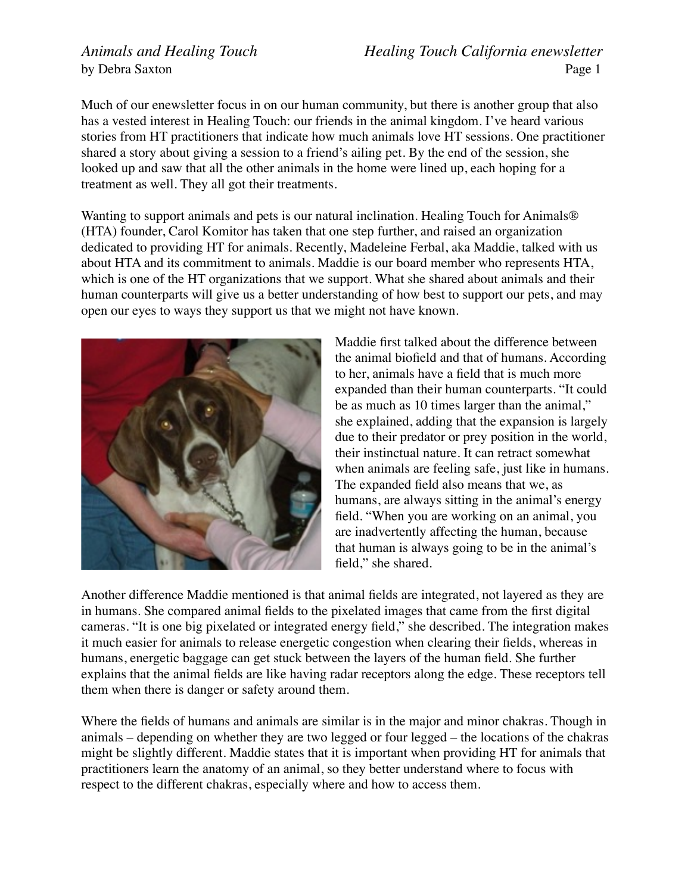*Animals and Healing Touch Healing Touch California enewsletter* by Debra SaxtonPage 1

Much of our enewsletter focus in on our human community, but there is another group that also has a vested interest in Healing Touch: our friends in the animal kingdom. I've heard various stories from HT practitioners that indicate how much animals love HT sessions. One practitioner shared a story about giving a session to a friend's ailing pet. By the end of the session, she looked up and saw that all the other animals in the home were lined up, each hoping for a treatment as well. They all got their treatments.

Wanting to support animals and pets is our natural inclination. Healing Touch for Animals<sup>®</sup> (HTA) founder, Carol Komitor has taken that one step further, and raised an organization dedicated to providing HT for animals. Recently, Madeleine Ferbal, aka Maddie, talked with us about HTA and its commitment to animals. Maddie is our board member who represents HTA, which is one of the HT organizations that we support. What she shared about animals and their human counterparts will give us a better understanding of how best to support our pets, and may open our eyes to ways they support us that we might not have known.



Maddie first talked about the difference between the animal biofield and that of humans. According to her, animals have a field that is much more expanded than their human counterparts. "It could be as much as 10 times larger than the animal," she explained, adding that the expansion is largely due to their predator or prey position in the world, their instinctual nature. It can retract somewhat when animals are feeling safe, just like in humans. The expanded field also means that we, as humans, are always sitting in the animal's energy field. "When you are working on an animal, you are inadvertently affecting the human, because that human is always going to be in the animal's field," she shared.

Another difference Maddie mentioned is that animal fields are integrated, not layered as they are in humans. She compared animal fields to the pixelated images that came from the first digital cameras. "It is one big pixelated or integrated energy field," she described. The integration makes it much easier for animals to release energetic congestion when clearing their fields, whereas in humans, energetic baggage can get stuck between the layers of the human field. She further explains that the animal fields are like having radar receptors along the edge. These receptors tell them when there is danger or safety around them.

Where the fields of humans and animals are similar is in the major and minor chakras. Though in animals – depending on whether they are two legged or four legged – the locations of the chakras might be slightly different. Maddie states that it is important when providing HT for animals that practitioners learn the anatomy of an animal, so they better understand where to focus with respect to the different chakras, especially where and how to access them.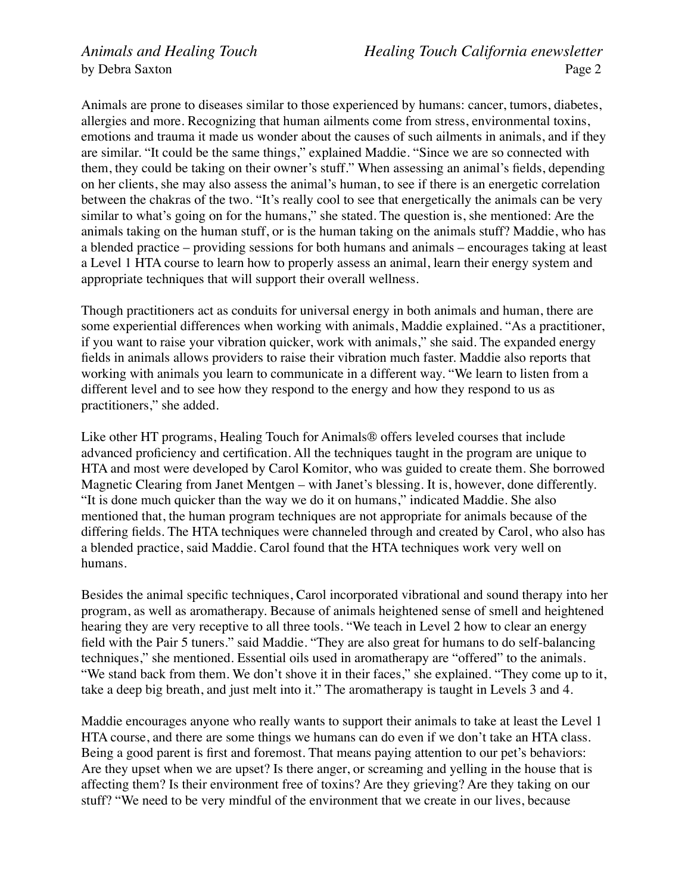Animals are prone to diseases similar to those experienced by humans: cancer, tumors, diabetes, allergies and more. Recognizing that human ailments come from stress, environmental toxins, emotions and trauma it made us wonder about the causes of such ailments in animals, and if they are similar. "It could be the same things," explained Maddie. "Since we are so connected with them, they could be taking on their owner's stuff." When assessing an animal's fields, depending on her clients, she may also assess the animal's human, to see if there is an energetic correlation between the chakras of the two. "It's really cool to see that energetically the animals can be very similar to what's going on for the humans," she stated. The question is, she mentioned: Are the animals taking on the human stuff, or is the human taking on the animals stuff? Maddie, who has a blended practice – providing sessions for both humans and animals – encourages taking at least a Level 1 HTA course to learn how to properly assess an animal, learn their energy system and appropriate techniques that will support their overall wellness.

Though practitioners act as conduits for universal energy in both animals and human, there are some experiential differences when working with animals, Maddie explained. "As a practitioner, if you want to raise your vibration quicker, work with animals," she said. The expanded energy fields in animals allows providers to raise their vibration much faster. Maddie also reports that working with animals you learn to communicate in a different way. "We learn to listen from a different level and to see how they respond to the energy and how they respond to us as practitioners," she added.

Like other HT programs, Healing Touch for Animals® offers leveled courses that include advanced proficiency and certification. All the techniques taught in the program are unique to HTA and most were developed by Carol Komitor, who was guided to create them. She borrowed Magnetic Clearing from Janet Mentgen – with Janet's blessing. It is, however, done differently. "It is done much quicker than the way we do it on humans," indicated Maddie. She also mentioned that, the human program techniques are not appropriate for animals because of the differing fields. The HTA techniques were channeled through and created by Carol, who also has a blended practice, said Maddie. Carol found that the HTA techniques work very well on humans.

Besides the animal specific techniques, Carol incorporated vibrational and sound therapy into her program, as well as aromatherapy. Because of animals heightened sense of smell and heightened hearing they are very receptive to all three tools. "We teach in Level 2 how to clear an energy field with the Pair 5 tuners." said Maddie. "They are also great for humans to do self-balancing techniques," she mentioned. Essential oils used in aromatherapy are "offered" to the animals. "We stand back from them. We don't shove it in their faces," she explained. "They come up to it, take a deep big breath, and just melt into it." The aromatherapy is taught in Levels 3 and 4.

Maddie encourages anyone who really wants to support their animals to take at least the Level 1 HTA course, and there are some things we humans can do even if we don't take an HTA class. Being a good parent is first and foremost. That means paying attention to our pet's behaviors: Are they upset when we are upset? Is there anger, or screaming and yelling in the house that is affecting them? Is their environment free of toxins? Are they grieving? Are they taking on our stuff? "We need to be very mindful of the environment that we create in our lives, because